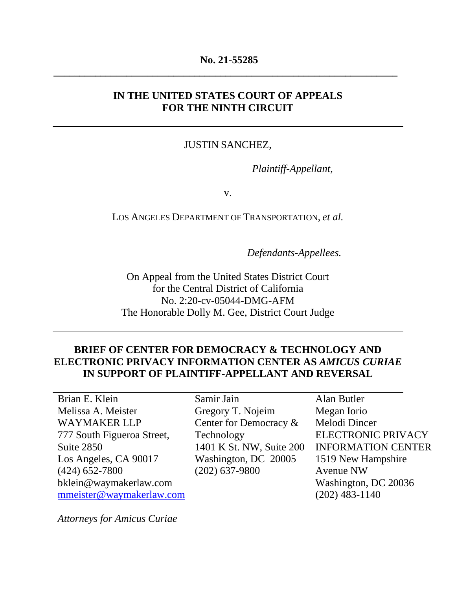#### **No. 21-55285**

**\_\_\_\_\_\_\_\_\_\_\_\_\_\_\_\_\_\_\_\_\_\_\_\_\_\_\_\_\_\_\_\_\_\_\_\_\_\_\_\_\_\_\_\_\_\_\_\_\_\_\_\_\_\_\_\_\_\_\_\_\_\_\_\_\_\_**

#### **IN THE UNITED STATES COURT OF APPEALS FOR THE NINTH CIRCUIT**

#### JUSTIN SANCHEZ,

 *Plaintiff-Appellant*,

v.

LOS ANGELES DEPARTMENT OF TRANSPORTATION, *et al.*

 *Defendants-Appellees.*

On Appeal from the United States District Court for the Central District of California No. 2:20-cv-05044-DMG-AFM The Honorable Dolly M. Gee, District Court Judge

## **BRIEF OF CENTER FOR DEMOCRACY & TECHNOLOGY AND ELECTRONIC PRIVACY INFORMATION CENTER AS** *AMICUS CURIAE*  **IN SUPPORT OF PLAINTIFF-APPELLANT AND REVERSAL**

Brian E. Klein Melissa A. Meister WAYMAKER LLP 777 South Figueroa Street, Suite 2850 Los Angeles, CA 90017 (424) 652-7800 bklein@waymakerlaw.com [mmeister@waymakerlaw.com](mailto:mmeister@waymakerlaw.com)

Samir Jain Gregory T. Nojeim Center for Democracy & Technology 1401 K St. NW, Suite 200 Washington, DC 20005 (202) 637-9800

Alan Butler Megan Iorio Melodi Dincer ELECTRONIC PRIVACY INFORMATION CENTER 1519 New Hampshire Avenue NW Washington, DC 20036 (202) 483-1140

*Attorneys for Amicus Curiae*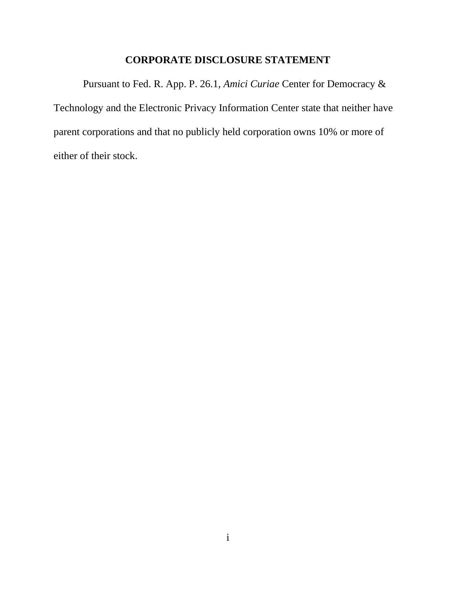# **CORPORATE DISCLOSURE STATEMENT**

Pursuant to Fed. R. App. P. 26.1, *Amici Curiae* Center for Democracy & Technology and the Electronic Privacy Information Center state that neither have parent corporations and that no publicly held corporation owns 10% or more of either of their stock.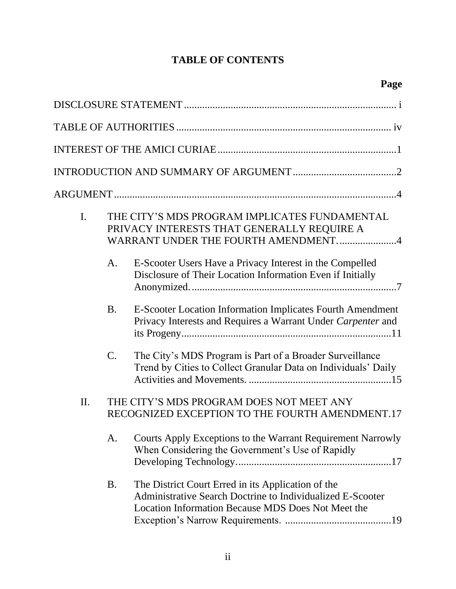# **TABLE OF CONTENTS**

| I.  |                | THE CITY'S MDS PROGRAM IMPLICATES FUNDAMENTAL<br>PRIVACY INTERESTS THAT GENERALLY REQUIRE A<br>WARRANT UNDER THE FOURTH AMENDMENT4                                     |
|-----|----------------|------------------------------------------------------------------------------------------------------------------------------------------------------------------------|
|     | A.             | E-Scooter Users Have a Privacy Interest in the Compelled<br>Disclosure of Their Location Information Even if Initially                                                 |
|     | <b>B.</b>      | E-Scooter Location Information Implicates Fourth Amendment<br>Privacy Interests and Requires a Warrant Under Carpenter and                                             |
|     | $\mathbf{C}$ . | The City's MDS Program is Part of a Broader Surveillance<br>Trend by Cities to Collect Granular Data on Individuals' Daily                                             |
| II. |                | THE CITY'S MDS PROGRAM DOES NOT MEET ANY<br>RECOGNIZED EXCEPTION TO THE FOURTH AMENDMENT.17                                                                            |
|     | A.             | Courts Apply Exceptions to the Warrant Requirement Narrowly<br>When Considering the Government's Use of Rapidly                                                        |
|     | <b>B.</b>      | The District Court Erred in its Application of the<br>Administrative Search Doctrine to Individualized E-Scooter<br>Location Information Because MDS Does Not Meet the |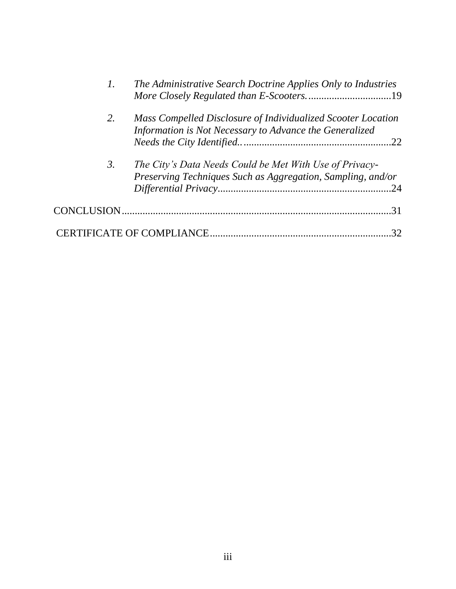|    | The Administrative Search Doctrine Applies Only to Industries                                                           |
|----|-------------------------------------------------------------------------------------------------------------------------|
| 2. | Mass Compelled Disclosure of Individualized Scooter Location<br>Information is Not Necessary to Advance the Generalized |
| 3. | The City's Data Needs Could be Met With Use of Privacy-<br>Preserving Techniques Such as Aggregation, Sampling, and/or  |
|    | .31                                                                                                                     |
|    | 32                                                                                                                      |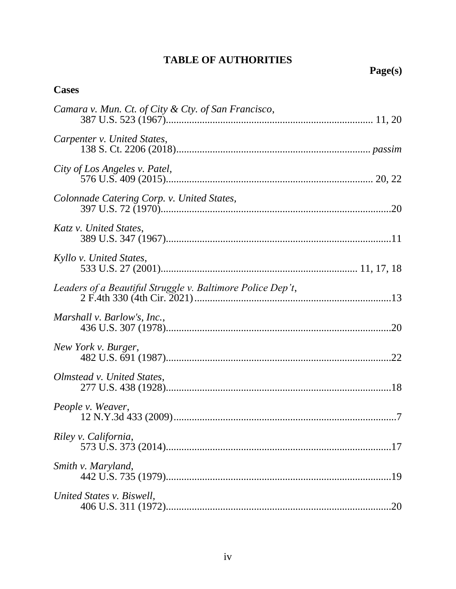# **TABLE OF AUTHORITIES**

# **Cases**

| Camara v. Mun. Ct. of City & Cty. of San Francisco,        |
|------------------------------------------------------------|
| Carpenter v. United States,                                |
| City of Los Angeles v. Patel,                              |
| Colonnade Catering Corp. v. United States,                 |
| Katz v. United States,                                     |
| Kyllo v. United States,                                    |
| Leaders of a Beautiful Struggle v. Baltimore Police Dep't, |
| Marshall v. Barlow's, Inc.,                                |
| New York v. Burger,                                        |
| Olmstead v. United States,                                 |
| People v. Weaver,                                          |
| Riley v. California,                                       |
| Smith v. Maryland,                                         |
| United States v. Biswell,<br>.20                           |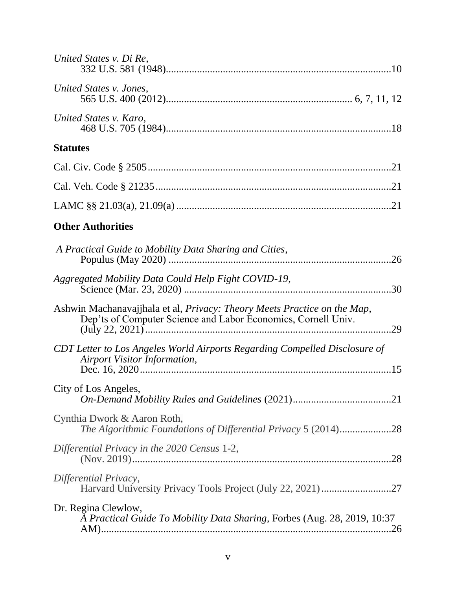| United States v. Di Re,                                                                                                                          |
|--------------------------------------------------------------------------------------------------------------------------------------------------|
| United States v. Jones,                                                                                                                          |
| United States v. Karo,                                                                                                                           |
| <b>Statutes</b>                                                                                                                                  |
|                                                                                                                                                  |
|                                                                                                                                                  |
|                                                                                                                                                  |
| <b>Other Authorities</b>                                                                                                                         |
| A Practical Guide to Mobility Data Sharing and Cities,                                                                                           |
| Aggregated Mobility Data Could Help Fight COVID-19,                                                                                              |
| Ashwin Machanavajjhala et al, Privacy: Theory Meets Practice on the Map,<br>Dep'ts of Computer Science and Labor Economics, Cornell Univ.<br>.29 |
| CDT Letter to Los Angeles World Airports Regarding Compelled Disclosure of<br>Airport Visitor Information,                                       |
| City of Los Angeles,                                                                                                                             |
| Cynthia Dwork & Aaron Roth,<br>The Algorithmic Foundations of Differential Privacy 5 (2014)28                                                    |
| Differential Privacy in the 2020 Census 1-2,                                                                                                     |
| Differential Privacy,                                                                                                                            |
| Dr. Regina Clewlow,<br>A Practical Guide To Mobility Data Sharing, Forbes (Aug. 28, 2019, 10:37                                                  |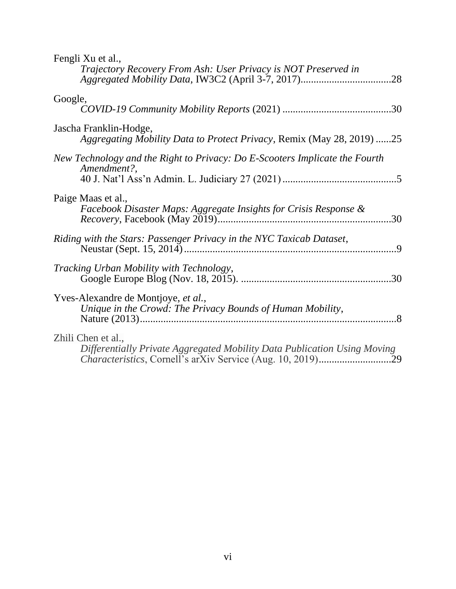| Fengli Xu et al.,<br>Trajectory Recovery From Ash: User Privacy is NOT Preserved in               |
|---------------------------------------------------------------------------------------------------|
| Google,                                                                                           |
| Jascha Franklin-Hodge,<br>Aggregating Mobility Data to Protect Privacy, Remix (May 28, 2019) 25   |
| New Technology and the Right to Privacy: Do E-Scooters Implicate the Fourth<br>Amendment?,        |
| Paige Maas et al.,<br>Facebook Disaster Maps: Aggregate Insights for Crisis Response &<br>.30     |
| Riding with the Stars: Passenger Privacy in the NYC Taxicab Dataset,                              |
| <i>Tracking Urban Mobility with Technology,</i><br>.30                                            |
| Yves-Alexandre de Montjoye, et al.,<br>Unique in the Crowd: The Privacy Bounds of Human Mobility, |
| Zhili Chen et al.,<br>Differentially Private Aggregated Mobility Data Publication Using Moving    |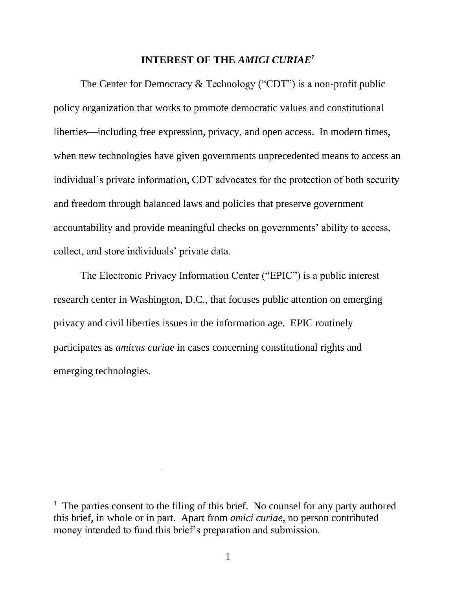#### **INTEREST OF THE** *AMICI CURIAE<sup>1</sup>*

The Center for Democracy & Technology ("CDT") is a non-profit public policy organization that works to promote democratic values and constitutional liberties—including free expression, privacy, and open access. In modern times, when new technologies have given governments unprecedented means to access an individual's private information, CDT advocates for the protection of both security and freedom through balanced laws and policies that preserve government accountability and provide meaningful checks on governments' ability to access, collect, and store individuals' private data.

The Electronic Privacy Information Center ("EPIC") is a public interest research center in Washington, D.C., that focuses public attention on emerging privacy and civil liberties issues in the information age. EPIC routinely participates as *amicus curiae* in cases concerning constitutional rights and emerging technologies.

<sup>&</sup>lt;sup>1</sup> The parties consent to the filing of this brief. No counsel for any party authored this brief, in whole or in part. Apart from *amici curiae*, no person contributed money intended to fund this brief's preparation and submission.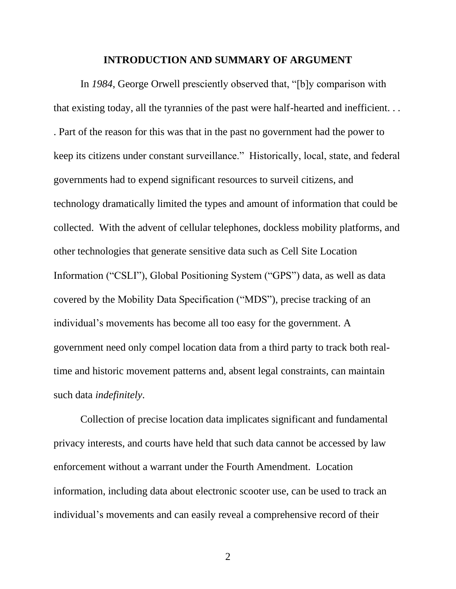#### **INTRODUCTION AND SUMMARY OF ARGUMENT**

In *1984*, George Orwell presciently observed that, "[b]y comparison with that existing today, all the tyrannies of the past were half-hearted and inefficient. . . . Part of the reason for this was that in the past no government had the power to keep its citizens under constant surveillance." Historically, local, state, and federal governments had to expend significant resources to surveil citizens, and technology dramatically limited the types and amount of information that could be collected. With the advent of cellular telephones, dockless mobility platforms, and other technologies that generate sensitive data such as Cell Site Location Information ("CSLI"), Global Positioning System ("GPS") data, as well as data covered by the Mobility Data Specification ("MDS"), precise tracking of an individual's movements has become all too easy for the government. A government need only compel location data from a third party to track both realtime and historic movement patterns and, absent legal constraints, can maintain such data *indefinitely*.

Collection of precise location data implicates significant and fundamental privacy interests, and courts have held that such data cannot be accessed by law enforcement without a warrant under the Fourth Amendment. Location information, including data about electronic scooter use, can be used to track an individual's movements and can easily reveal a comprehensive record of their

2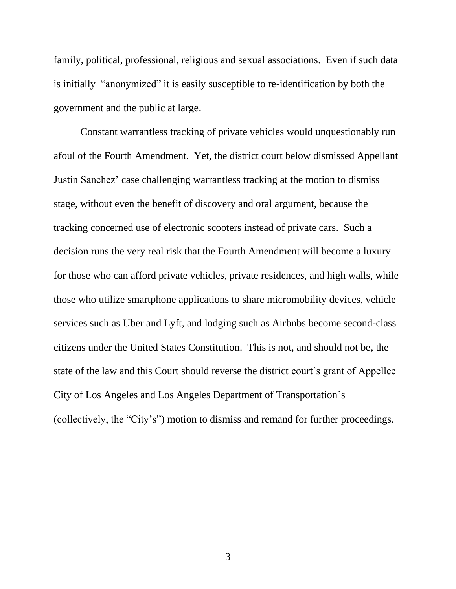family, political, professional, religious and sexual associations. Even if such data is initially "anonymized" it is easily susceptible to re-identification by both the government and the public at large.

Constant warrantless tracking of private vehicles would unquestionably run afoul of the Fourth Amendment. Yet, the district court below dismissed Appellant Justin Sanchez' case challenging warrantless tracking at the motion to dismiss stage, without even the benefit of discovery and oral argument, because the tracking concerned use of electronic scooters instead of private cars. Such a decision runs the very real risk that the Fourth Amendment will become a luxury for those who can afford private vehicles, private residences, and high walls, while those who utilize smartphone applications to share micromobility devices, vehicle services such as Uber and Lyft, and lodging such as Airbnbs become second-class citizens under the United States Constitution. This is not, and should not be, the state of the law and this Court should reverse the district court's grant of Appellee City of Los Angeles and Los Angeles Department of Transportation's (collectively, the "City's") motion to dismiss and remand for further proceedings.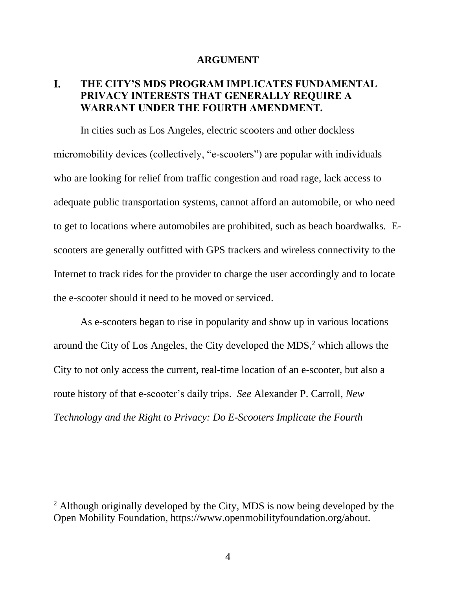#### **ARGUMENT**

#### L. **THE CITY'S MDS PROGRAM IMPLICATES FUNDAMENTAL PRIVACY INTERESTS THAT GENERALLY REQUIRE A WARRANT UNDER THE FOURTH AMENDMENT.**

In cities such as Los Angeles, electric scooters and other dockless micromobility devices (collectively, "e-scooters") are popular with individuals who are looking for relief from traffic congestion and road rage, lack access to adequate public transportation systems, cannot afford an automobile, or who need to get to locations where automobiles are prohibited, such as beach boardwalks. Escooters are generally outfitted with GPS trackers and wireless connectivity to the Internet to track rides for the provider to charge the user accordingly and to locate the e-scooter should it need to be moved or serviced.

As e-scooters began to rise in popularity and show up in various locations around the City of Los Angeles, the City developed the MDS, <sup>2</sup> which allows the City to not only access the current, real-time location of an e-scooter, but also a route history of that e-scooter's daily trips. *See* Alexander P. Carroll, *New Technology and the Right to Privacy: Do E-Scooters Implicate the Fourth* 

<sup>&</sup>lt;sup>2</sup> Although originally developed by the City, MDS is now being developed by the Open Mobility Foundation, https://www.openmobilityfoundation.org/about.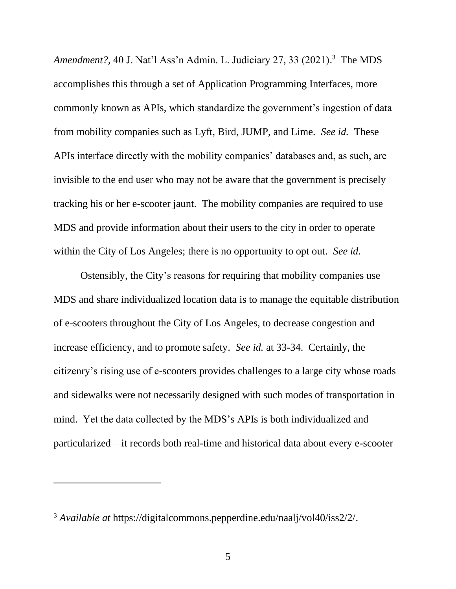*Amendment?,* 40 J. Nat'l Ass'n Admin. L. Judiciary 27, 33 (2021). <sup>3</sup> The MDS accomplishes this through a set of Application Programming Interfaces, more commonly known as APIs, which standardize the government's ingestion of data from mobility companies such as Lyft, Bird, JUMP, and Lime. *See id.* These APIs interface directly with the mobility companies' databases and, as such, are invisible to the end user who may not be aware that the government is precisely tracking his or her e-scooter jaunt. The mobility companies are required to use MDS and provide information about their users to the city in order to operate within the City of Los Angeles; there is no opportunity to opt out. *See id.*

Ostensibly, the City's reasons for requiring that mobility companies use MDS and share individualized location data is to manage the equitable distribution of e-scooters throughout the City of Los Angeles, to decrease congestion and increase efficiency, and to promote safety. *See id.* at 33-34. Certainly, the citizenry's rising use of e-scooters provides challenges to a large city whose roads and sidewalks were not necessarily designed with such modes of transportation in mind. Yet the data collected by the MDS's APIs is both individualized and particularized—it records both real-time and historical data about every e-scooter

<sup>3</sup> *Available at* https://digitalcommons.pepperdine.edu/naalj/vol40/iss2/2/.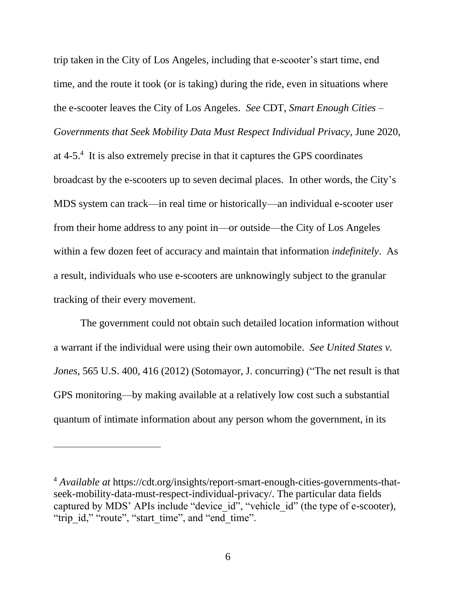trip taken in the City of Los Angeles, including that e-scooter's start time, end time, and the route it took (or is taking) during the ride, even in situations where the e-scooter leaves the City of Los Angeles. *See* CDT, *Smart Enough Cities – Governments that Seek Mobility Data Must Respect Individual Privacy,* June 2020, at 4-5.<sup>4</sup> It is also extremely precise in that it captures the GPS coordinates broadcast by the e-scooters up to seven decimal places. In other words, the City's MDS system can track—in real time or historically—an individual e-scooter user from their home address to any point in—or outside—the City of Los Angeles within a few dozen feet of accuracy and maintain that information *indefinitely*. As a result, individuals who use e-scooters are unknowingly subject to the granular tracking of their every movement.

The government could not obtain such detailed location information without a warrant if the individual were using their own automobile. *See United States v. Jones*, 565 U.S. 400, 416 (2012) (Sotomayor, J. concurring) ("The net result is that GPS monitoring—by making available at a relatively low cost such a substantial quantum of intimate information about any person whom the government, in its

<sup>4</sup> *Available at* https://cdt.org/insights/report-smart-enough-cities-governments-thatseek-mobility-data-must-respect-individual-privacy/. The particular data fields captured by MDS' APIs include "device id", "vehicle id" (the type of e-scooter), "trip\_id," "route", "start\_time", and "end\_time".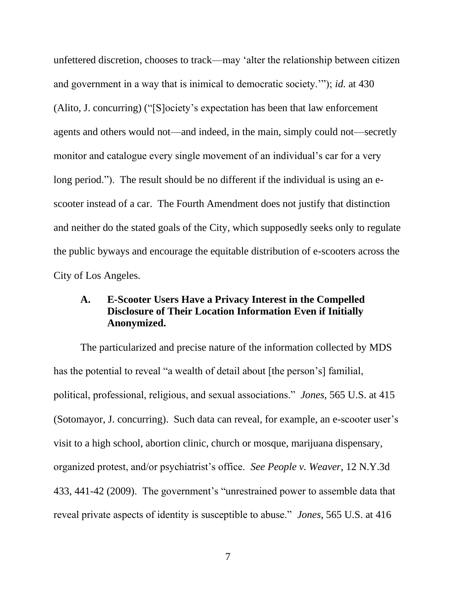unfettered discretion, chooses to track—may 'alter the relationship between citizen and government in a way that is inimical to democratic society.'"); *id.* at 430 (Alito, J. concurring) ("[S]ociety's expectation has been that law enforcement agents and others would not—and indeed, in the main, simply could not—secretly monitor and catalogue every single movement of an individual's car for a very long period."). The result should be no different if the individual is using an escooter instead of a car. The Fourth Amendment does not justify that distinction and neither do the stated goals of the City, which supposedly seeks only to regulate the public byways and encourage the equitable distribution of e-scooters across the City of Los Angeles.

## **A. E-Scooter Users Have a Privacy Interest in the Compelled Disclosure of Their Location Information Even if Initially Anonymized.**

The particularized and precise nature of the information collected by MDS has the potential to reveal "a wealth of detail about [the person's] familial, political, professional, religious, and sexual associations." *Jones*, 565 U.S. at 415 (Sotomayor, J. concurring). Such data can reveal, for example, an e-scooter user's visit to a high school, abortion clinic, church or mosque, marijuana dispensary, organized protest, and/or psychiatrist's office. *See People v. Weaver*, 12 N.Y.3d 433, 441-42 (2009). The government's "unrestrained power to assemble data that reveal private aspects of identity is susceptible to abuse." *Jones*, 565 U.S. at 416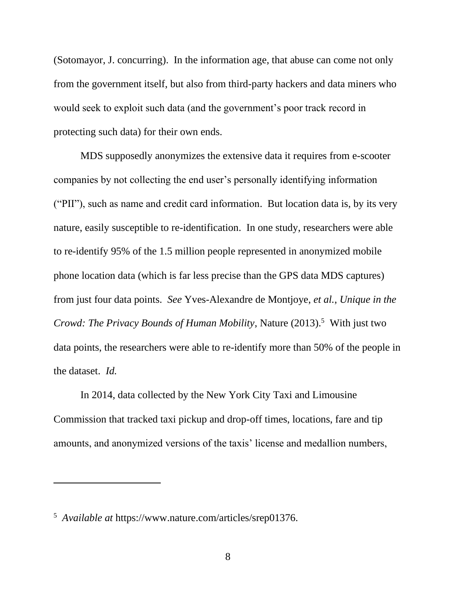(Sotomayor, J. concurring). In the information age, that abuse can come not only from the government itself, but also from third-party hackers and data miners who would seek to exploit such data (and the government's poor track record in protecting such data) for their own ends.

MDS supposedly anonymizes the extensive data it requires from e-scooter companies by not collecting the end user's personally identifying information ("PII"), such as name and credit card information. But location data is, by its very nature, easily susceptible to re-identification. In one study, researchers were able to re-identify 95% of the 1.5 million people represented in anonymized mobile phone location data (which is far less precise than the GPS data MDS captures) from just four data points. *See* Yves-Alexandre de Montjoye, *et al.*, *Unique in the Crowd: The Privacy Bounds of Human Mobility*, Nature (2013). <sup>5</sup> With just two data points, the researchers were able to re-identify more than 50% of the people in the dataset. *Id.* 

In 2014, data collected by the New York City Taxi and Limousine Commission that tracked taxi pickup and drop-off times, locations, fare and tip amounts, and anonymized versions of the taxis' license and medallion numbers,

<sup>5</sup> *Available at* https://www.nature.com/articles/srep01376.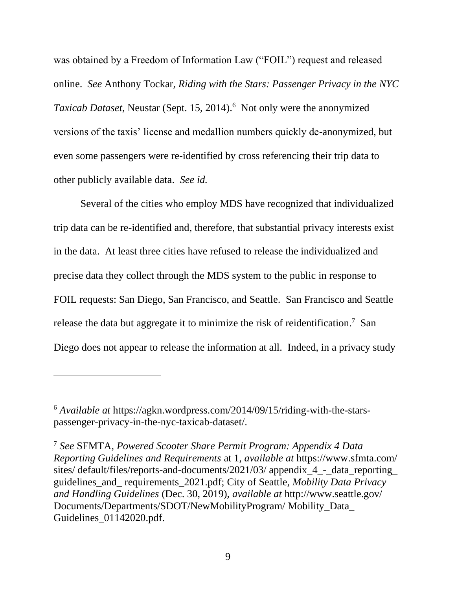was obtained by a Freedom of Information Law ("FOIL") request and released online. *See* Anthony Tockar, *Riding with the Stars: Passenger Privacy in the NYC Taxicab Dataset*, Neustar (Sept. 15, 2014). <sup>6</sup> Not only were the anonymized versions of the taxis' license and medallion numbers quickly de-anonymized, but even some passengers were re-identified by cross referencing their trip data to other publicly available data. *See id.*

Several of the cities who employ MDS have recognized that individualized trip data can be re-identified and, therefore, that substantial privacy interests exist in the data. At least three cities have refused to release the individualized and precise data they collect through the MDS system to the public in response to FOIL requests: San Diego, San Francisco, and Seattle. San Francisco and Seattle release the data but aggregate it to minimize the risk of reidentification.<sup>7</sup> San Diego does not appear to release the information at all. Indeed, in a privacy study

<sup>6</sup> *Available at* https://agkn.wordpress.com/2014/09/15/riding-with-the-starspassenger-privacy-in-the-nyc-taxicab-dataset/.

<sup>7</sup> *See* SFMTA, *Powered Scooter Share Permit Program: Appendix 4 Data Reporting Guidelines and Requirements* at 1, *available at* https://www.sfmta.com/ sites/ default/files/reports-and-documents/2021/03/ appendix 4 - data reporting guidelines\_and\_ requirements\_2021.pdf; City of Seattle, *Mobility Data Privacy and Handling Guidelines* (Dec. 30, 2019), *available at* http://www.seattle.gov/ Documents/Departments/SDOT/NewMobilityProgram/ Mobility\_Data\_ Guidelines\_01142020.pdf.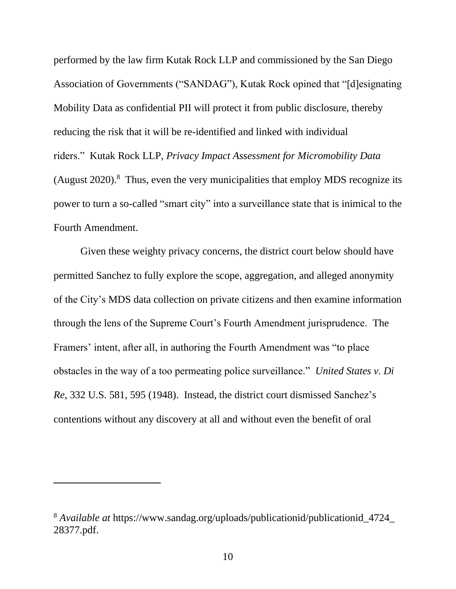performed by the law firm Kutak Rock LLP and commissioned by the San Diego Association of Governments ("SANDAG"), Kutak Rock opined that "[d]esignating Mobility Data as confidential PII will protect it from public disclosure, thereby reducing the risk that it will be re-identified and linked with individual riders." Kutak Rock LLP, *Privacy Impact Assessment for Micromobility Data* (August 2020). 8 Thus, even the very municipalities that employ MDS recognize its power to turn a so-called "smart city" into a surveillance state that is inimical to the Fourth Amendment.

Given these weighty privacy concerns, the district court below should have permitted Sanchez to fully explore the scope, aggregation, and alleged anonymity of the City's MDS data collection on private citizens and then examine information through the lens of the Supreme Court's Fourth Amendment jurisprudence. The Framers' intent, after all, in authoring the Fourth Amendment was "to place obstacles in the way of a too permeating police surveillance." *United States v. Di Re*, 332 U.S. 581, 595 (1948). Instead, the district court dismissed Sanchez's contentions without any discovery at all and without even the benefit of oral

<sup>8</sup> *Available at* https://www.sandag.org/uploads/publicationid/publicationid\_4724\_ 28377.pdf.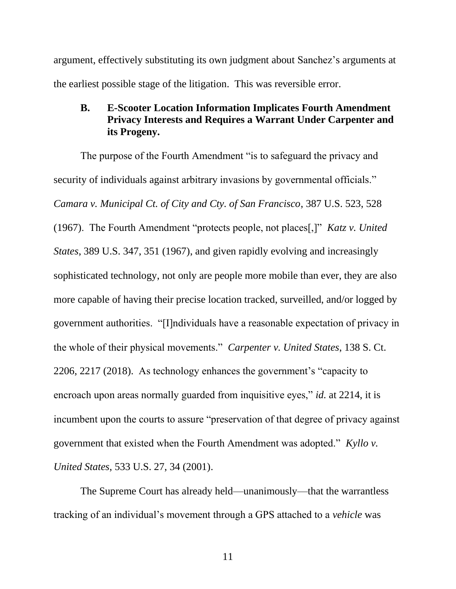argument, effectively substituting its own judgment about Sanchez's arguments at the earliest possible stage of the litigation. This was reversible error.

## **B. E-Scooter Location Information Implicates Fourth Amendment Privacy Interests and Requires a Warrant Under Carpenter and its Progeny.**

The purpose of the Fourth Amendment "is to safeguard the privacy and security of individuals against arbitrary invasions by governmental officials." *Camara v. Municipal Ct. of City and Cty. of San Francisco*, 387 U.S. 523, 528 (1967). The Fourth Amendment "protects people, not places[,]" *Katz v. United States*, 389 U.S. 347, 351 (1967), and given rapidly evolving and increasingly sophisticated technology, not only are people more mobile than ever, they are also more capable of having their precise location tracked, surveilled, and/or logged by government authorities. "[I]ndividuals have a reasonable expectation of privacy in the whole of their physical movements." *Carpenter v. United States*, 138 S. Ct. 2206, 2217 (2018).As technology enhances the government's "capacity to encroach upon areas normally guarded from inquisitive eyes," *id.* at 2214, it is incumbent upon the courts to assure "preservation of that degree of privacy against government that existed when the Fourth Amendment was adopted." *Kyllo v. United States*, 533 U.S. 27, 34 (2001).

The Supreme Court has already held—unanimously—that the warrantless tracking of an individual's movement through a GPS attached to a *vehicle* was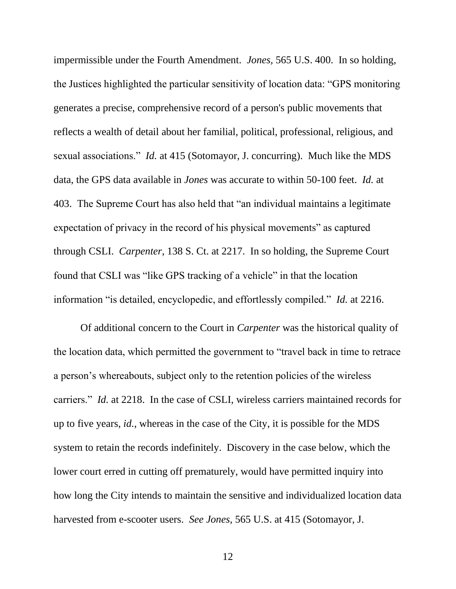impermissible under the Fourth Amendment. *Jones,* 565 U.S. 400. In so holding, the Justices highlighted the particular sensitivity of location data: "GPS monitoring generates a precise, comprehensive record of a person's public movements that reflects a wealth of detail about her familial, political, professional, religious, and sexual associations." *Id.* at 415 (Sotomayor, J. concurring). Much like the MDS data, the GPS data available in *Jones* was accurate to within 50-100 feet. *Id.* at 403. The Supreme Court has also held that "an individual maintains a legitimate expectation of privacy in the record of his physical movements" as captured through CSLI. *Carpenter*, 138 S. Ct. at 2217. In so holding, the Supreme Court found that CSLI was "like GPS tracking of a vehicle" in that the location information "is detailed, encyclopedic, and effortlessly compiled." *Id.* at 2216.

Of additional concern to the Court in *Carpenter* was the historical quality of the location data, which permitted the government to "travel back in time to retrace a person's whereabouts, subject only to the retention policies of the wireless carriers." *Id.* at 2218. In the case of CSLI, wireless carriers maintained records for up to five years, *id.*, whereas in the case of the City, it is possible for the MDS system to retain the records indefinitely. Discovery in the case below, which the lower court erred in cutting off prematurely, would have permitted inquiry into how long the City intends to maintain the sensitive and individualized location data harvested from e-scooter users. *See Jones*, 565 U.S. at 415 (Sotomayor, J.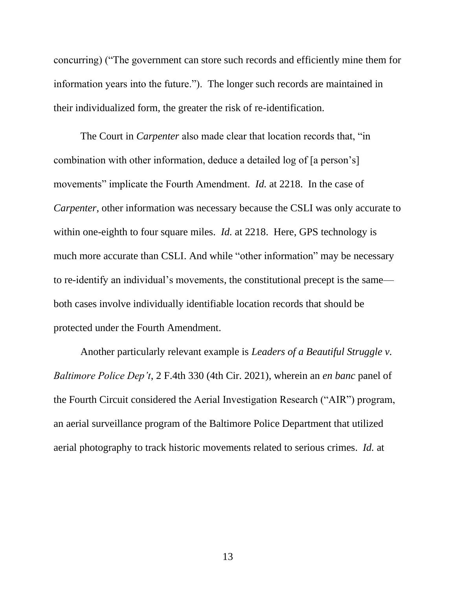concurring) ("The government can store such records and efficiently mine them for information years into the future.").The longer such records are maintained in their individualized form, the greater the risk of re-identification.

The Court in *Carpenter* also made clear that location records that, "in combination with other information, deduce a detailed log of [a person's] movements" implicate the Fourth Amendment. *Id.* at 2218. In the case of *Carpenter*, other information was necessary because the CSLI was only accurate to within one-eighth to four square miles. *Id.* at 2218. Here, GPS technology is much more accurate than CSLI. And while "other information" may be necessary to re-identify an individual's movements, the constitutional precept is the same both cases involve individually identifiable location records that should be protected under the Fourth Amendment.

Another particularly relevant example is *Leaders of a Beautiful Struggle v. Baltimore Police Dep't*, 2 F.4th 330 (4th Cir. 2021), wherein an *en banc* panel of the Fourth Circuit considered the Aerial Investigation Research ("AIR") program, an aerial surveillance program of the Baltimore Police Department that utilized aerial photography to track historic movements related to serious crimes. *Id.* at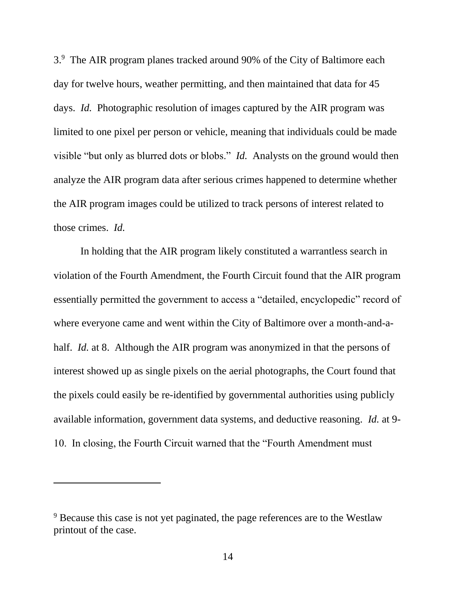3.<sup>9</sup> The AIR program planes tracked around 90% of the City of Baltimore each day for twelve hours, weather permitting, and then maintained that data for 45 days. *Id.* Photographic resolution of images captured by the AIR program was limited to one pixel per person or vehicle, meaning that individuals could be made visible "but only as blurred dots or blobs." *Id.* Analysts on the ground would then analyze the AIR program data after serious crimes happened to determine whether the AIR program images could be utilized to track persons of interest related to those crimes. *Id.*

In holding that the AIR program likely constituted a warrantless search in violation of the Fourth Amendment, the Fourth Circuit found that the AIR program essentially permitted the government to access a "detailed, encyclopedic" record of where everyone came and went within the City of Baltimore over a month-and-ahalf. *Id.* at 8. Although the AIR program was anonymized in that the persons of interest showed up as single pixels on the aerial photographs, the Court found that the pixels could easily be re-identified by governmental authorities using publicly available information, government data systems, and deductive reasoning. *Id.* at 9- 10. In closing, the Fourth Circuit warned that the "Fourth Amendment must

<sup>&</sup>lt;sup>9</sup> Because this case is not yet paginated, the page references are to the Westlaw printout of the case.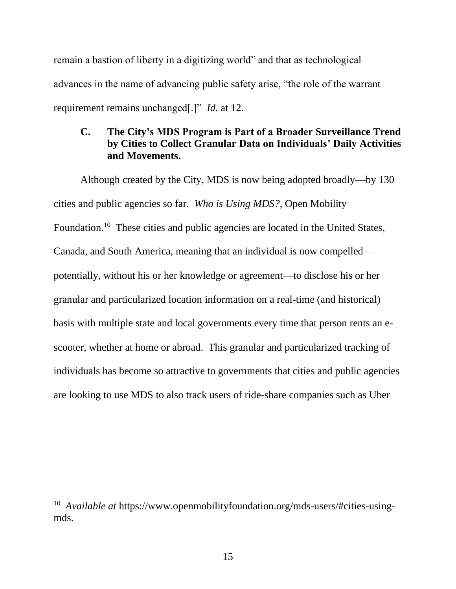remain a bastion of liberty in a digitizing world" and that as technological advances in the name of advancing public safety arise, "the role of the warrant requirement remains unchanged[.]" *Id.* at 12.

## **C. The City's MDS Program is Part of a Broader Surveillance Trend by Cities to Collect Granular Data on Individuals' Daily Activities and Movements.**

Although created by the City, MDS is now being adopted broadly—by 130 cities and public agencies so far. *Who is Using MDS?*, Open Mobility Foundation.<sup>10</sup> These cities and public agencies are located in the United States, Canada, and South America, meaning that an individual is now compelled potentially, without his or her knowledge or agreement—to disclose his or her granular and particularized location information on a real-time (and historical) basis with multiple state and local governments every time that person rents an escooter, whether at home or abroad. This granular and particularized tracking of individuals has become so attractive to governments that cities and public agencies are looking to use MDS to also track users of ride-share companies such as Uber

<sup>&</sup>lt;sup>10</sup> Available at https://www.openmobilityfoundation.org/mds-users/#cities-usingmds.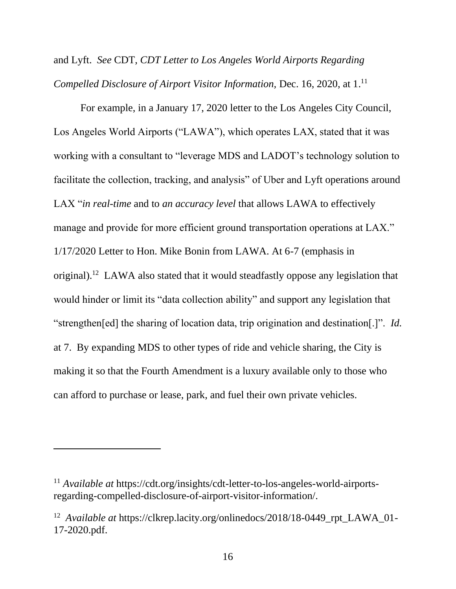and Lyft. *See* CDT, *CDT Letter to Los Angeles World Airports Regarding Compelled Disclosure of Airport Visitor Information,* Dec. 16, 2020, at 1. 11

For example, in a January 17, 2020 letter to the Los Angeles City Council, Los Angeles World Airports ("LAWA"), which operates LAX, stated that it was working with a consultant to "leverage MDS and LADOT's technology solution to facilitate the collection, tracking, and analysis" of Uber and Lyft operations around LAX "*in real-time* and to *an accuracy level* that allows LAWA to effectively manage and provide for more efficient ground transportation operations at LAX." 1/17/2020 Letter to Hon. Mike Bonin from LAWA. At 6-7 (emphasis in original).<sup>12</sup> LAWA also stated that it would steadfastly oppose any legislation that would hinder or limit its "data collection ability" and support any legislation that "strengthen[ed] the sharing of location data, trip origination and destination[.]". *Id.*  at 7. By expanding MDS to other types of ride and vehicle sharing, the City is making it so that the Fourth Amendment is a luxury available only to those who can afford to purchase or lease, park, and fuel their own private vehicles.

<sup>11</sup> *Available at* https://cdt.org/insights/cdt-letter-to-los-angeles-world-airportsregarding-compelled-disclosure-of-airport-visitor-information/.

<sup>&</sup>lt;sup>12</sup> Available at https://clkrep.lacity.org/onlinedocs/2018/18-0449\_rpt\_LAWA\_01-17-2020.pdf.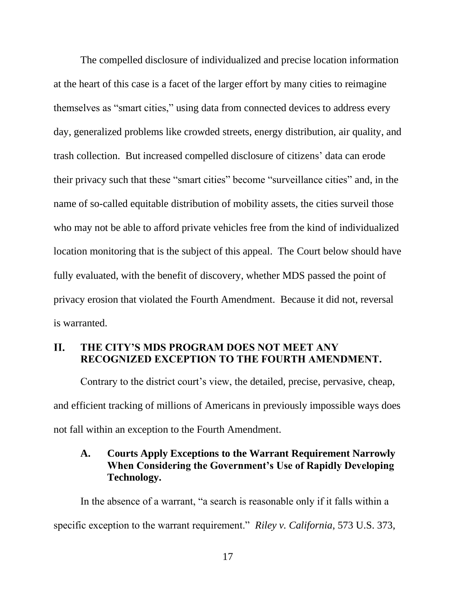The compelled disclosure of individualized and precise location information at the heart of this case is a facet of the larger effort by many cities to reimagine themselves as "smart cities," using data from connected devices to address every day, generalized problems like crowded streets, energy distribution, air quality, and trash collection. But increased compelled disclosure of citizens' data can erode their privacy such that these "smart cities" become "surveillance cities" and, in the name of so-called equitable distribution of mobility assets, the cities surveil those who may not be able to afford private vehicles free from the kind of individualized location monitoring that is the subject of this appeal. The Court below should have fully evaluated, with the benefit of discovery, whether MDS passed the point of privacy erosion that violated the Fourth Amendment. Because it did not, reversal is warranted.

#### **II. THE CITY'S MDS PROGRAM DOES NOT MEET ANY RECOGNIZED EXCEPTION TO THE FOURTH AMENDMENT.**

Contrary to the district court's view, the detailed, precise, pervasive, cheap, and efficient tracking of millions of Americans in previously impossible ways does not fall within an exception to the Fourth Amendment.

# **A. Courts Apply Exceptions to the Warrant Requirement Narrowly When Considering the Government's Use of Rapidly Developing Technology.**

In the absence of a warrant, "a search is reasonable only if it falls within a specific exception to the warrant requirement." *Riley v. California*, 573 U.S. 373,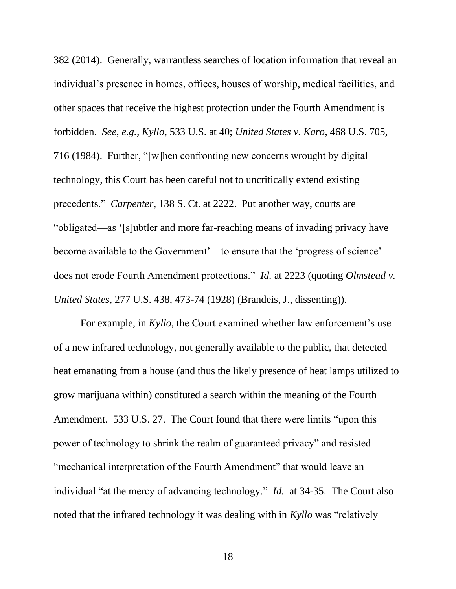382 (2014). Generally, warrantless searches of location information that reveal an individual's presence in homes, offices, houses of worship, medical facilities, and other spaces that receive the highest protection under the Fourth Amendment is forbidden. *See, e.g., Kyllo*, 533 U.S. at 40; *United States v. Karo*, 468 U.S. 705, 716 (1984). Further, "[w]hen confronting new concerns wrought by digital technology, this Court has been careful not to uncritically extend existing precedents." *Carpenter*, 138 S. Ct. at 2222. Put another way, courts are "obligated—as '[s]ubtler and more far-reaching means of invading privacy have become available to the Government'—to ensure that the 'progress of science' does not erode Fourth Amendment protections." *Id.* at 2223 (quoting *Olmstead v. United States*, 277 U.S. 438, 473-74 (1928) (Brandeis, J., dissenting)).

For example, in *Kyllo*, the Court examined whether law enforcement's use of a new infrared technology, not generally available to the public, that detected heat emanating from a house (and thus the likely presence of heat lamps utilized to grow marijuana within) constituted a search within the meaning of the Fourth Amendment. 533 U.S. 27. The Court found that there were limits "upon this power of technology to shrink the realm of guaranteed privacy" and resisted "mechanical interpretation of the Fourth Amendment" that would leave an individual "at the mercy of advancing technology." *Id.* at 34-35. The Court also noted that the infrared technology it was dealing with in *Kyllo* was "relatively

18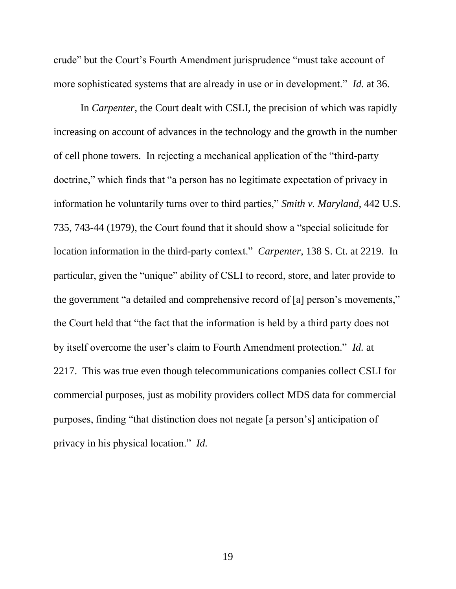crude" but the Court's Fourth Amendment jurisprudence "must take account of more sophisticated systems that are already in use or in development." *Id.* at 36.

In *Carpenter*, the Court dealt with CSLI, the precision of which was rapidly increasing on account of advances in the technology and the growth in the number of cell phone towers. In rejecting a mechanical application of the "third-party doctrine," which finds that "a person has no legitimate expectation of privacy in information he voluntarily turns over to third parties," *Smith v. Maryland*, 442 U.S. 735, 743-44 (1979), the Court found that it should show a "special solicitude for location information in the third-party context." *Carpenter*, 138 S. Ct. at 2219. In particular, given the "unique" ability of CSLI to record, store, and later provide to the government "a detailed and comprehensive record of [a] person's movements," the Court held that "the fact that the information is held by a third party does not by itself overcome the user's claim to Fourth Amendment protection." *Id.* at 2217. This was true even though telecommunications companies collect CSLI for commercial purposes, just as mobility providers collect MDS data for commercial purposes, finding "that distinction does not negate [a person's] anticipation of privacy in his physical location." *Id.*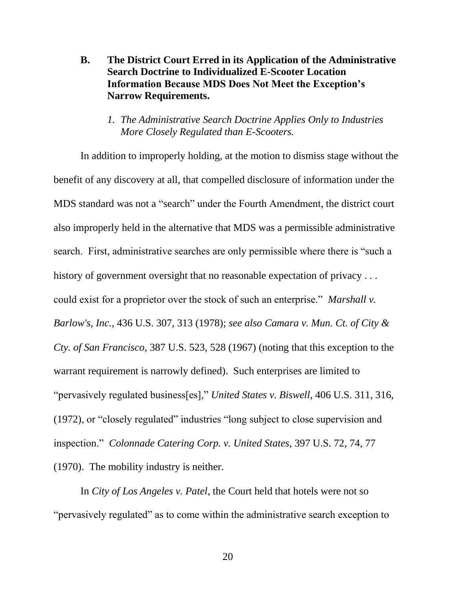**B. The District Court Erred in its Application of the Administrative Search Doctrine to Individualized E-Scooter Location Information Because MDS Does Not Meet the Exception's Narrow Requirements.**

#### *1. The Administrative Search Doctrine Applies Only to Industries More Closely Regulated than E-Scooters.*

In addition to improperly holding, at the motion to dismiss stage without the benefit of any discovery at all, that compelled disclosure of information under the MDS standard was not a "search" under the Fourth Amendment, the district court also improperly held in the alternative that MDS was a permissible administrative search. First, administrative searches are only permissible where there is "such a history of government oversight that no reasonable expectation of privacy . . . could exist for a proprietor over the stock of such an enterprise." *Marshall v. Barlow's, Inc.*, 436 U.S. 307, 313 (1978); *see also Camara v. Mun. Ct. of City & Cty. of San Francisco*, 387 U.S. 523, 528 (1967) (noting that this exception to the warrant requirement is narrowly defined). Such enterprises are limited to "pervasively regulated business[es]," *United States v. Biswell,* 406 U.S. 311, 316, (1972), or "closely regulated" industries "long subject to close supervision and inspection." *Colonnade Catering Corp. v. United States,* 397 U.S. 72, 74, 77 (1970). The mobility industry is neither.

In *City of Los Angeles v. Patel*, the Court held that hotels were not so "pervasively regulated" as to come within the administrative search exception to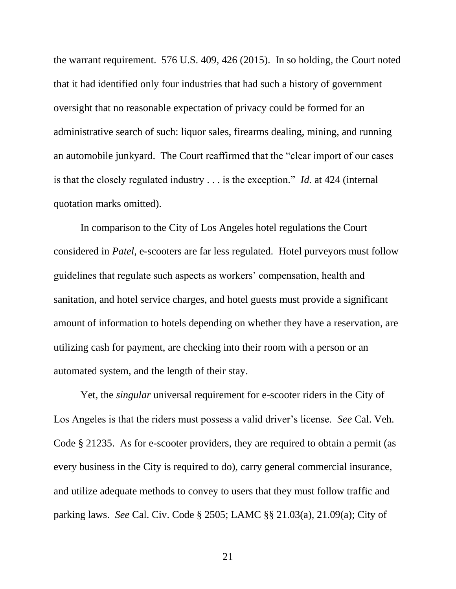the warrant requirement. 576 U.S. 409, 426 (2015). In so holding, the Court noted that it had identified only four industries that had such a history of government oversight that no reasonable expectation of privacy could be formed for an administrative search of such: liquor sales, firearms dealing, mining, and running an automobile junkyard. The Court reaffirmed that the "clear import of our cases is that the closely regulated industry . . . is the exception." *Id.* at 424 (internal quotation marks omitted).

In comparison to the City of Los Angeles hotel regulations the Court considered in *Patel*, e-scooters are far less regulated. Hotel purveyors must follow guidelines that regulate such aspects as workers' compensation, health and sanitation, and hotel service charges, and hotel guests must provide a significant amount of information to hotels depending on whether they have a reservation, are utilizing cash for payment, are checking into their room with a person or an automated system, and the length of their stay.

Yet, the *singular* universal requirement for e-scooter riders in the City of Los Angeles is that the riders must possess a valid driver's license. *See* Cal. Veh. Code § 21235. As for e-scooter providers, they are required to obtain a permit (as every business in the City is required to do), carry general commercial insurance, and utilize adequate methods to convey to users that they must follow traffic and parking laws. *See* Cal. Civ. Code § 2505; LAMC §§ 21.03(a), 21.09(a); City of

21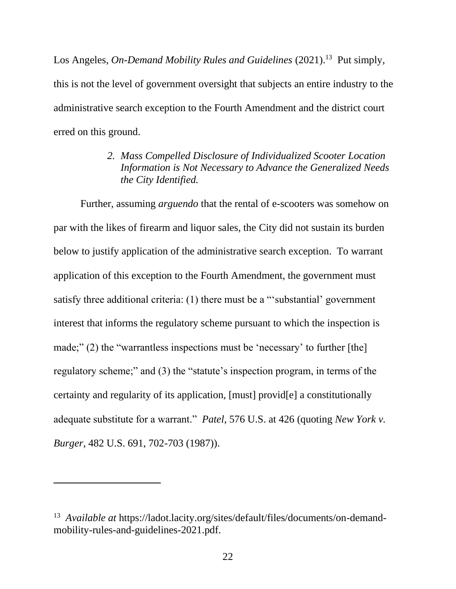Los Angeles, *On-Demand Mobility Rules and Guidelines* (2021). 13 Put simply, this is not the level of government oversight that subjects an entire industry to the administrative search exception to the Fourth Amendment and the district court erred on this ground.

> *2. Mass Compelled Disclosure of Individualized Scooter Location Information is Not Necessary to Advance the Generalized Needs the City Identified.*

Further, assuming *arguendo* that the rental of e-scooters was somehow on par with the likes of firearm and liquor sales, the City did not sustain its burden below to justify application of the administrative search exception. To warrant application of this exception to the Fourth Amendment, the government must satisfy three additional criteria: (1) there must be a "'substantial' government interest that informs the regulatory scheme pursuant to which the inspection is made;" (2) the "warrantless inspections must be 'necessary' to further [the] regulatory scheme;" and (3) the "statute's inspection program, in terms of the certainty and regularity of its application, [must] provid[e] a constitutionally adequate substitute for a warrant." *Patel*, 576 U.S. at 426 (quoting *New York v. Burger*, 482 U.S. 691, 702-703 (1987)).

<sup>&</sup>lt;sup>13</sup> Available at https://ladot.lacity.org/sites/default/files/documents/on-demandmobility-rules-and-guidelines-2021.pdf.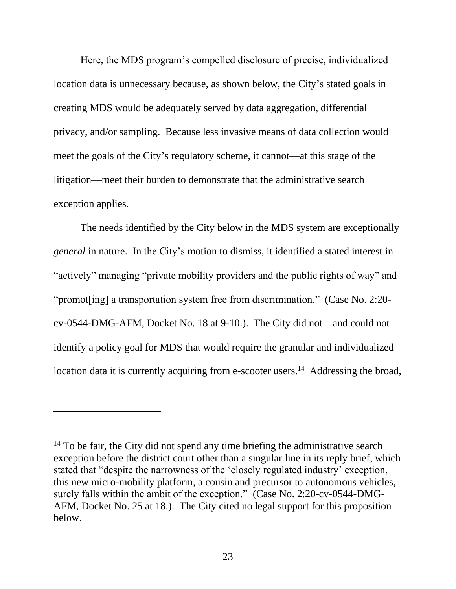Here, the MDS program's compelled disclosure of precise, individualized location data is unnecessary because, as shown below, the City's stated goals in creating MDS would be adequately served by data aggregation, differential privacy, and/or sampling. Because less invasive means of data collection would meet the goals of the City's regulatory scheme, it cannot—at this stage of the litigation—meet their burden to demonstrate that the administrative search exception applies.

The needs identified by the City below in the MDS system are exceptionally *general* in nature. In the City's motion to dismiss, it identified a stated interest in "actively" managing "private mobility providers and the public rights of way" and "promot[ing] a transportation system free from discrimination." (Case No. 2:20 cv-0544-DMG-AFM, Docket No. 18 at 9-10.). The City did not—and could not identify a policy goal for MDS that would require the granular and individualized location data it is currently acquiring from e-scooter users.<sup>14</sup> Addressing the broad,

 $14$  To be fair, the City did not spend any time briefing the administrative search exception before the district court other than a singular line in its reply brief, which stated that "despite the narrowness of the 'closely regulated industry' exception, this new micro-mobility platform, a cousin and precursor to autonomous vehicles, surely falls within the ambit of the exception." (Case No. 2:20-cv-0544-DMG-AFM, Docket No. 25 at 18.). The City cited no legal support for this proposition below.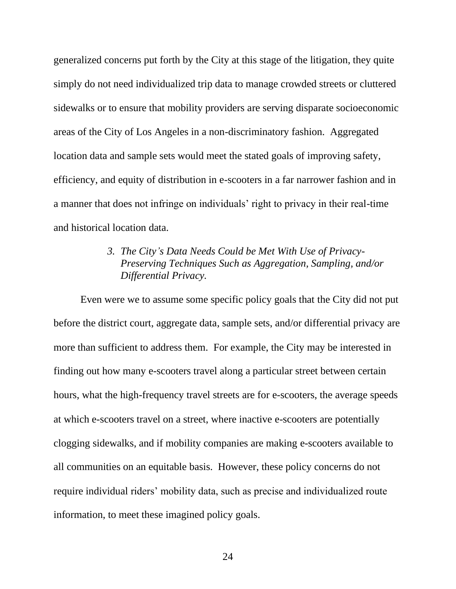generalized concerns put forth by the City at this stage of the litigation, they quite simply do not need individualized trip data to manage crowded streets or cluttered sidewalks or to ensure that mobility providers are serving disparate socioeconomic areas of the City of Los Angeles in a non-discriminatory fashion. Aggregated location data and sample sets would meet the stated goals of improving safety, efficiency, and equity of distribution in e-scooters in a far narrower fashion and in a manner that does not infringe on individuals' right to privacy in their real-time and historical location data.

## *3. The City's Data Needs Could be Met With Use of Privacy-Preserving Techniques Such as Aggregation, Sampling, and/or Differential Privacy.*

Even were we to assume some specific policy goals that the City did not put before the district court, aggregate data, sample sets, and/or differential privacy are more than sufficient to address them. For example, the City may be interested in finding out how many e-scooters travel along a particular street between certain hours, what the high-frequency travel streets are for e-scooters, the average speeds at which e-scooters travel on a street, where inactive e-scooters are potentially clogging sidewalks, and if mobility companies are making e-scooters available to all communities on an equitable basis. However, these policy concerns do not require individual riders' mobility data, such as precise and individualized route information, to meet these imagined policy goals.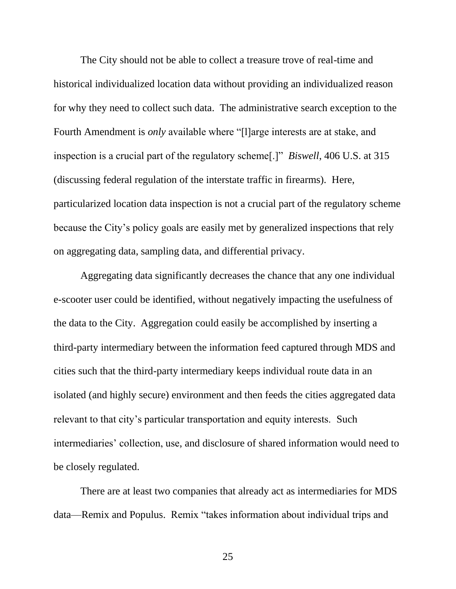The City should not be able to collect a treasure trove of real-time and historical individualized location data without providing an individualized reason for why they need to collect such data. The administrative search exception to the Fourth Amendment is *only* available where "[l]arge interests are at stake, and inspection is a crucial part of the regulatory scheme[.]" *Biswell*, 406 U.S. at 315 (discussing federal regulation of the interstate traffic in firearms). Here, particularized location data inspection is not a crucial part of the regulatory scheme because the City's policy goals are easily met by generalized inspections that rely on aggregating data, sampling data, and differential privacy.

Aggregating data significantly decreases the chance that any one individual e-scooter user could be identified, without negatively impacting the usefulness of the data to the City. Aggregation could easily be accomplished by inserting a third-party intermediary between the information feed captured through MDS and cities such that the third-party intermediary keeps individual route data in an isolated (and highly secure) environment and then feeds the cities aggregated data relevant to that city's particular transportation and equity interests. Such intermediaries' collection, use, and disclosure of shared information would need to be closely regulated.

There are at least two companies that already act as intermediaries for MDS data—Remix and Populus. Remix "takes information about individual trips and

25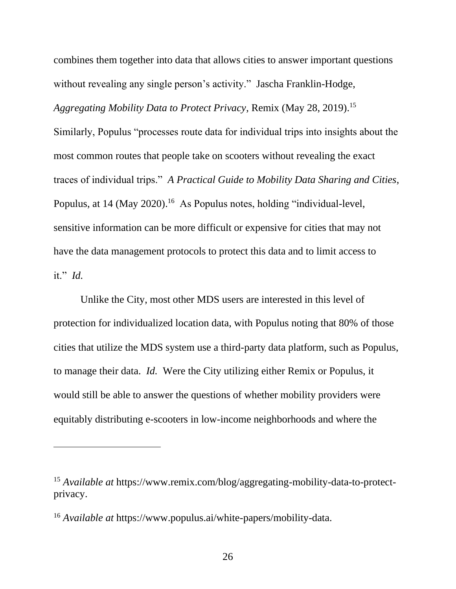combines them together into data that allows cities to answer important questions without revealing any single person's activity." Jascha Franklin-Hodge, *Aggregating Mobility Data to Protect Privacy*, Remix (May 28, 2019). 15 Similarly, Populus "processes route data for individual trips into insights about the most common routes that people take on scooters without revealing the exact traces of individual trips." *A Practical Guide to Mobility Data Sharing and Cities*, Populus, at 14 (May 2020).<sup>16</sup> As Populus notes, holding "individual-level, sensitive information can be more difficult or expensive for cities that may not have the data management protocols to protect this data and to limit access to it." *Id.*

Unlike the City, most other MDS users are interested in this level of protection for individualized location data, with Populus noting that 80% of those cities that utilize the MDS system use a third-party data platform, such as Populus, to manage their data. *Id.* Were the City utilizing either Remix or Populus, it would still be able to answer the questions of whether mobility providers were equitably distributing e-scooters in low-income neighborhoods and where the

<sup>&</sup>lt;sup>15</sup> *Available at https://www.remix.com/blog/aggregating-mobility-data-to-protect*privacy.

<sup>16</sup> *Available at* https://www.populus.ai/white-papers/mobility-data.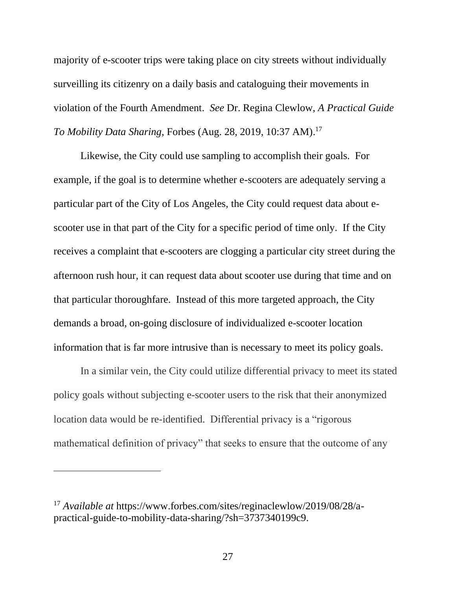majority of e-scooter trips were taking place on city streets without individually surveilling its citizenry on a daily basis and cataloguing their movements in violation of the Fourth Amendment. *See* Dr. Regina Clewlow, *A Practical Guide To Mobility Data Sharing,* Forbes (Aug. 28, 2019, 10:37 AM). 17

Likewise, the City could use sampling to accomplish their goals. For example, if the goal is to determine whether e-scooters are adequately serving a particular part of the City of Los Angeles, the City could request data about escooter use in that part of the City for a specific period of time only. If the City receives a complaint that e-scooters are clogging a particular city street during the afternoon rush hour, it can request data about scooter use during that time and on that particular thoroughfare. Instead of this more targeted approach, the City demands a broad, on-going disclosure of individualized e-scooter location information that is far more intrusive than is necessary to meet its policy goals.

In a similar vein, the City could utilize differential privacy to meet its stated policy goals without subjecting e-scooter users to the risk that their anonymized location data would be re-identified. Differential privacy is a "rigorous mathematical definition of privacy" that seeks to ensure that the outcome of any

<sup>17</sup> *Available at* https://www.forbes.com/sites/reginaclewlow/2019/08/28/apractical-guide-to-mobility-data-sharing/?sh=3737340199c9.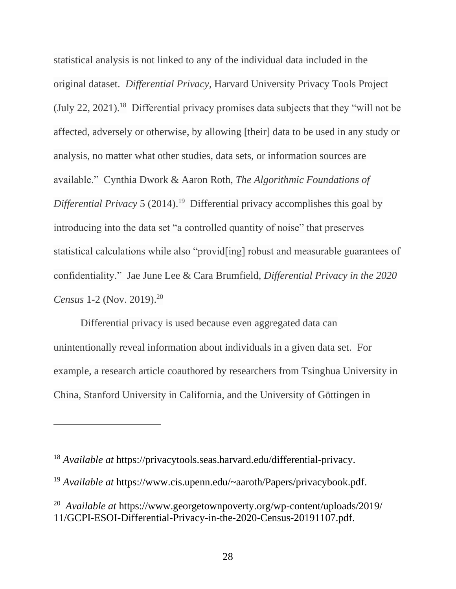statistical analysis is not linked to any of the individual data included in the original dataset. *Differential Privacy*, Harvard University Privacy Tools Project (July 22, 2021). 18 Differential privacy promises data subjects that they "will not be affected, adversely or otherwise, by allowing [their] data to be used in any study or analysis, no matter what other studies, data sets, or information sources are available." Cynthia Dwork & Aaron Roth, *The Algorithmic Foundations of Differential Privacy* 5 (2014). <sup>19</sup> Differential privacy accomplishes this goal by introducing into the data set "a controlled quantity of noise" that preserves statistical calculations while also "provid[ing] robust and measurable guarantees of confidentiality." Jae June Lee & Cara Brumfield, *Differential Privacy in the 2020 Census* 1-2 (Nov. 2019). 20

Differential privacy is used because even aggregated data can unintentionally reveal information about individuals in a given data set. For example, a research article coauthored by researchers from Tsinghua University in China, Stanford University in California, and the University of Göttingen in

<sup>18</sup> *Available at* https://privacytools.seas.harvard.edu/differential-privacy.

<sup>19</sup> *Available at* https://www.cis.upenn.edu/~aaroth/Papers/privacybook.pdf.

<sup>20</sup> *Available at* https://www.georgetownpoverty.org/wp-content/uploads/2019/ 11/GCPI-ESOI-Differential-Privacy-in-the-2020-Census-20191107.pdf.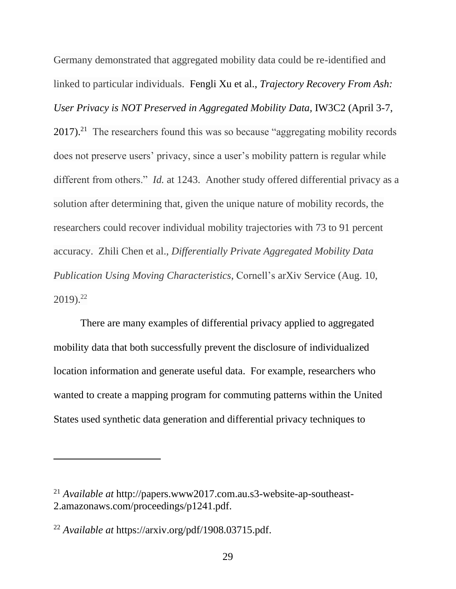Germany demonstrated that aggregated mobility data could be re-identified and linked to particular individuals. Fengli Xu et al., *Trajectory Recovery From Ash: User Privacy is NOT Preserved in Aggregated Mobility Data,* IW3C2 (April 3-7,  $2017$ ).<sup>21</sup> The researchers found this was so because "aggregating mobility records" does not preserve users' privacy, since a user's mobility pattern is regular while different from others." *Id.* at 1243. Another study offered differential privacy as a solution after determining that, given the unique nature of mobility records, the researchers could recover individual mobility trajectories with 73 to 91 percent accuracy. Zhili Chen et al., *Differentially Private Aggregated Mobility Data Publication Using Moving Characteristics*, Cornell's arXiv Service (Aug. 10, 2019). 22

There are many examples of differential privacy applied to aggregated mobility data that both successfully prevent the disclosure of individualized location information and generate useful data. For example, researchers who wanted to create a mapping program for commuting patterns within the United States used synthetic data generation and differential privacy techniques to

<sup>21</sup> *Available at* http://papers.www2017.com.au.s3-website-ap-southeast-2.amazonaws.com/proceedings/p1241.pdf.

<sup>22</sup> *Available at* https://arxiv.org/pdf/1908.03715.pdf.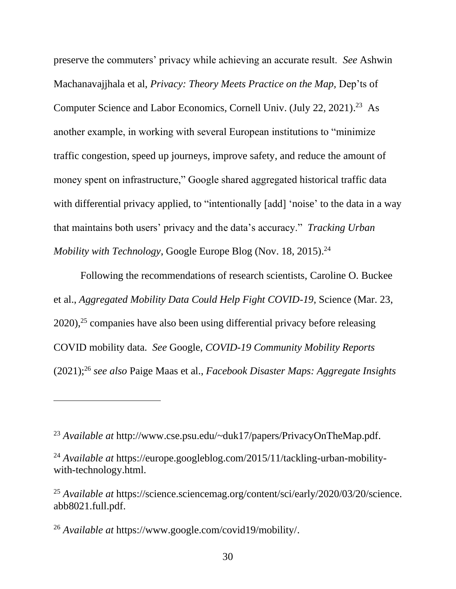preserve the commuters' privacy while achieving an accurate result. *See* Ashwin Machanavajjhala et al, *Privacy: Theory Meets Practice on the Map,* Dep'ts of Computer Science and Labor Economics, Cornell Univ. (July 22, 2021). <sup>23</sup> As another example, in working with several European institutions to "minimize traffic congestion, speed up journeys, improve safety, and reduce the amount of money spent on infrastructure," Google shared aggregated historical traffic data with differential privacy applied, to "intentionally [add] 'noise' to the data in a way that maintains both users' privacy and the data's accuracy." *Tracking Urban Mobility with Technology*, Google Europe Blog (Nov. 18, 2015). 24

Following the recommendations of research scientists, Caroline O. Buckee et al., *Aggregated Mobility Data Could Help Fight COVID-19*, Science (Mar. 23,  $2020$ ,<sup>25</sup> companies have also been using differential privacy before releasing COVID mobility data. *See* Google, *COVID-19 Community Mobility Reports* (2021); <sup>26</sup> *see also* Paige Maas et al., *Facebook Disaster Maps: Aggregate Insights* 

<sup>23</sup> *Available at* http://www.cse.psu.edu/~duk17/papers/PrivacyOnTheMap.pdf.

<sup>&</sup>lt;sup>24</sup> *Available at https://europe.googleblog.com/2015/11/tackling-urban-mobility*with-technology.html.

<sup>&</sup>lt;sup>25</sup> Available at https://science.sciencemag.org/content/sci/early/2020/03/20/science. abb8021.full.pdf.

<sup>26</sup> *Available at* https://www.google.com/covid19/mobility/.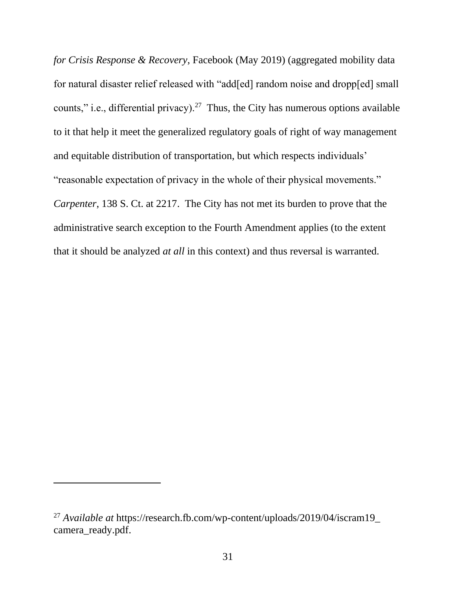*for Crisis Response & Recovery*, Facebook (May 2019) (aggregated mobility data for natural disaster relief released with "add[ed] random noise and dropp[ed] small counts," i.e., differential privacy).<sup>27</sup> Thus, the City has numerous options available to it that help it meet the generalized regulatory goals of right of way management and equitable distribution of transportation, but which respects individuals' "reasonable expectation of privacy in the whole of their physical movements." *Carpenter*, 138 S. Ct. at 2217. The City has not met its burden to prove that the administrative search exception to the Fourth Amendment applies (to the extent that it should be analyzed *at all* in this context) and thus reversal is warranted.

<sup>27</sup> *Available at* https://research.fb.com/wp-content/uploads/2019/04/iscram19\_ camera\_ready.pdf.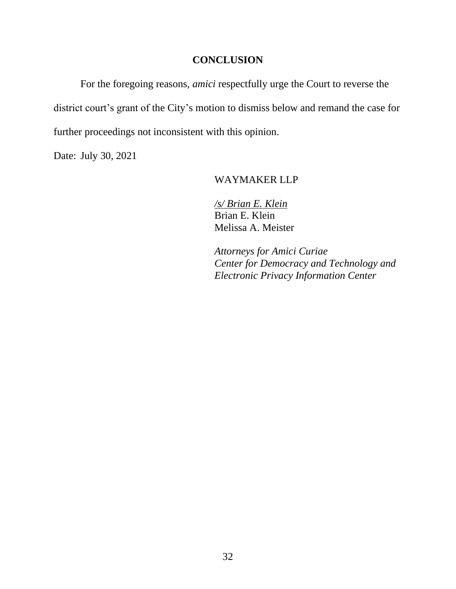## **CONCLUSION**

For the foregoing reasons, *amici* respectfully urge the Court to reverse the district court's grant of the City's motion to dismiss below and remand the case for further proceedings not inconsistent with this opinion.

Date: July 30, 2021

#### WAYMAKER LLP

*/s/ Brian E. Klein* Brian E. Klein Melissa A. Meister

*Attorneys for Amici Curiae Center for Democracy and Technology and Electronic Privacy Information Center*